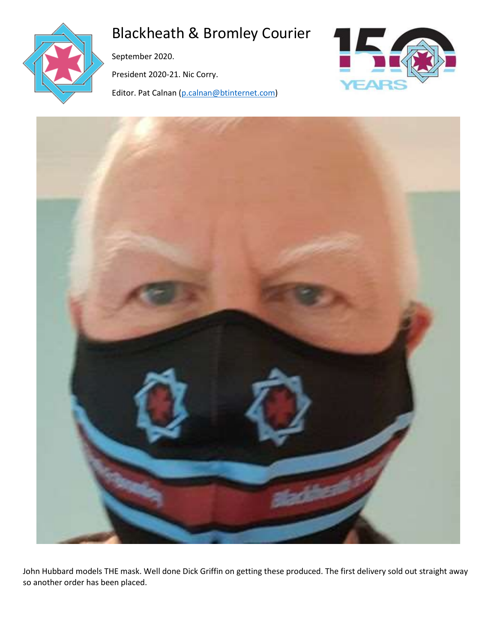

# Blackheath & Bromley Courier

September 2020.

President 2020-21. Nic Corry.

Editor. Pat Calnan [\(p.calnan@btinternet.com\)](mailto:p.calnan@btinternet.com)





John Hubbard models THE mask. Well done Dick Griffin on getting these produced. The first delivery sold out straight away so another order has been placed.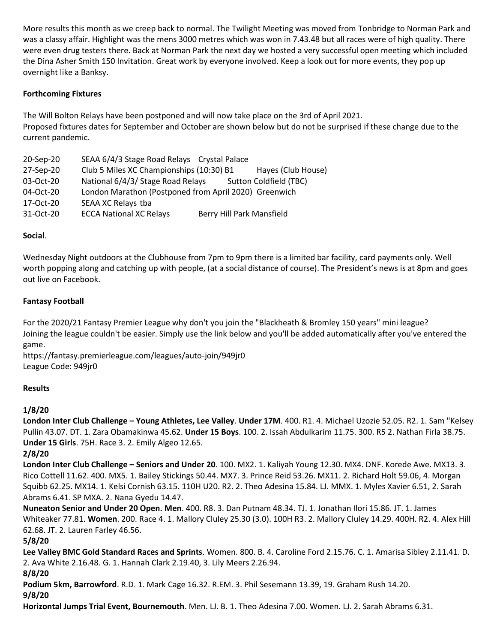More results this month as we creep back to normal. The Twilight Meeting was moved from Tonbridge to Norman Park and was a classy affair. Highlight was the mens 3000 metres which was won in 7.43.48 but all races were of high quality. There were even drug testers there. Back at Norman Park the next day we hosted a very successful open meeting which included the Dina Asher Smith 150 Invitation. Great work by everyone involved. Keep a look out for more events, they pop up overnight like a Banksy.

## **Forthcoming Fixtures**

The Will Bolton Relays have been postponed and will now take place on the 3rd of April 2021. Proposed fixtures dates for September and October are shown below but do not be surprised if these change due to the current pandemic.

| 20-Sep-20 | SEAA 6/4/3 Stage Road Relays Crystal Palace           |                           |                        |
|-----------|-------------------------------------------------------|---------------------------|------------------------|
| 27-Sep-20 | Club 5 Miles XC Championships (10:30) B1              |                           | Hayes (Club House)     |
| 03-Oct-20 | National 6/4/3/ Stage Road Relays                     |                           | Sutton Coldfield (TBC) |
| 04-Oct-20 | London Marathon (Postponed from April 2020) Greenwich |                           |                        |
| 17-Oct-20 | SEAA XC Relays tba                                    |                           |                        |
| 31-Oct-20 | <b>ECCA National XC Relays</b>                        | Berry Hill Park Mansfield |                        |
|           |                                                       |                           |                        |

### **Social**.

Wednesday Night outdoors at the Clubhouse from 7pm to 9pm there is a limited bar facility, card payments only. Well worth popping along and catching up with people, (at a social distance of course). The President's news is at 8pm and goes out live on Facebook.

### **Fantasy Football**

For the 2020/21 Fantasy Premier League why don't you join the "Blackheath & Bromley 150 years" mini league? Joining the league couldn't be easier. Simply use the link below and you'll be added automatically after you've entered the game.

https://fantasy.premierleague.com/leagues/auto-join/949jr0 League Code: 949jr0

### **Results**

### **1/8/20**

**London Inter Club Challenge – Young Athletes, Lee Valley**. **Under 17M**. 400. R1. 4. Michael Uzozie 52.05. R2. 1. Sam "Kelsey Pullin 43.07. DT. 1. Zara Obamakinwa 45.62. **Under 15 Boys**. 100. 2. Issah Abdulkarim 11.75. 300. R5 2. Nathan Firla 38.75. **Under 15 Girls**. 75H. Race 3. 2. Emily Algeo 12.65.

### **2/8/20**

**London Inter Club Challenge – Seniors and Under 20**. 100. MX2. 1. Kaliyah Young 12.30. MX4. DNF. Korede Awe. MX13. 3. Rico Cottell 11.62. 400. MX5. 1. Bailey Stickings 50.44. MX7. 3. Prince Reid 53.26. MX11. 2. Richard Holt 59.06, 4. Morgan Squibb 62.25. MX14. 1. Kelsi Cornish 63.15. 110H U20. R2. 2. Theo Adesina 15.84. LJ. MMX. 1. Myles Xavier 6.51, 2. Sarah Abrams 6.41. SP MXA. 2. Nana Gyedu 14.47.

**Nuneaton Senior and Under 20 Open. Men**. 400. R8. 3. Dan Putnam 48.34. TJ. 1. Jonathan Ilori 15.86. JT. 1. James Whiteaker 77.81. **Women**. 200. Race 4. 1. Mallory Cluley 25.30 (3.0). 100H R3. 2. Mallory Cluley 14.29. 400H. R2. 4. Alex Hill 62.68. JT. 2. Lauren Farley 46.56.

### **5/8/20**

**Lee Valley BMC Gold Standard Races and Sprints**. Women. 800. B. 4. Caroline Ford 2.15.76. C. 1. Amarisa Sibley 2.11.41. D. 2. Ava White 2.16.48. G. 1. Hannah Clark 2.19.40, 3. Lily Meers 2.26.94.

### **8/8/20**

**Podium 5km, Barrowford**. R.D. 1. Mark Cage 16.32. R.EM. 3. Phil Sesemann 13.39, 19. Graham Rush 14.20. **9/8/20**

**Horizontal Jumps Trial Event, Bournemouth**. Men. LJ. B. 1. Theo Adesina 7.00. Women. LJ. 2. Sarah Abrams 6.31.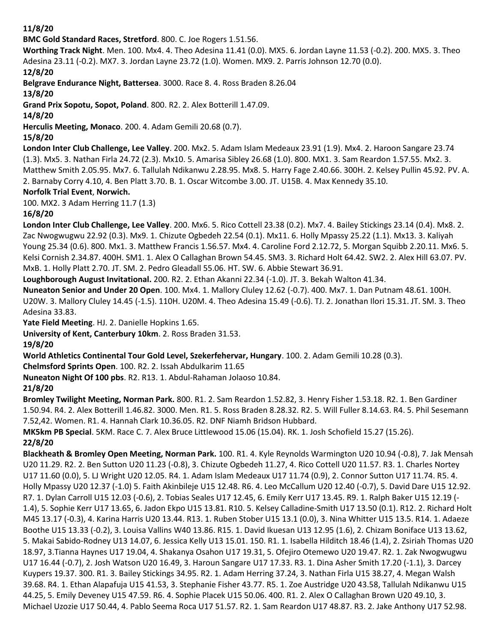### **11/8/20**

**BMC Gold Standard Races, Stretford**. 800. C. Joe Rogers 1.51.56.

**Worthing Track Night**. Men. 100. Mx4. 4. Theo Adesina 11.41 (0.0). MX5. 6. Jordan Layne 11.53 (-0.2). 200. MX5. 3. Theo Adesina 23.11 (-0.2). MX7. 3. Jordan Layne 23.72 (1.0). Women. MX9. 2. Parris Johnson 12.70 (0.0).

### **12/8/20**

**Belgrave Endurance Night, Battersea**. 3000. Race 8. 4. Ross Braden 8.26.04

### **13/8/20**

**Grand Prix Sopotu, Sopot, Poland**. 800. R2. 2. Alex Botterill 1.47.09.

**14/8/20**

**Herculis Meeting, Monaco**. 200. 4. Adam Gemili 20.68 (0.7).

**15/8/20**

**London Inter Club Challenge, Lee Valley**. 200. Mx2. 5. Adam Islam Medeaux 23.91 (1.9). Mx4. 2. Haroon Sangare 23.74 (1.3). Mx5. 3. Nathan Firla 24.72 (2.3). Mx10. 5. Amarisa Sibley 26.68 (1.0). 800. MX1. 3. Sam Reardon 1.57.55. Mx2. 3. Matthew Smith 2.05.95. Mx7. 6. Tallulah Ndikanwu 2.28.95. Mx8. 5. Harry Fage 2.40.66. 300H. 2. Kelsey Pullin 45.92. PV. A. 2. Barnaby Corry 4.10, 4. Ben Platt 3.70. B. 1. Oscar Witcombe 3.00. JT. U15B. 4. Max Kennedy 35.10.

# **Norfolk Trial Event**, **Norwich.**

100. MX2. 3 Adam Herring 11.7 (1.3)

**16/8/20**

**London Inter Club Challenge, Lee Valley**. 200. Mx6. 5. Rico Cottell 23.38 (0.2). Mx7. 4. Bailey Stickings 23.14 (0.4). Mx8. 2. Zac Nwogwugwu 22.92 (0.3). Mx9. 1. Chizute Ogbedeh 22.54 (0.1). Mx11. 6. Holly Mpassy 25.22 (1.1). Mx13. 3. Kaliyah Young 25.34 (0.6). 800. Mx1. 3. Matthew Francis 1.56.57. Mx4. 4. Caroline Ford 2.12.72, 5. Morgan Squibb 2.20.11. Mx6. 5. Kelsi Cornish 2.34.87. 400H. SM1. 1. Alex O Callaghan Brown 54.45. SM3. 3. Richard Holt 64.42. SW2. 2. Alex Hill 63.07. PV. MxB. 1. Holly Platt 2.70. JT. SM. 2. Pedro Gleadall 55.06. HT. SW. 6. Abbie Stewart 36.91.

**Loughborough August Invitational.** 200. R2. 2. Ethan Akanni 22.34 (-1.0). JT. 3. Bekah Walton 41.34.

**Nuneaton Senior and Under 20 Open**. 100. Mx4. 1. Mallory Cluley 12.62 (-0.7). 400. Mx7. 1. Dan Putnam 48.61. 100H. U20W. 3. Mallory Cluley 14.45 (-1.5). 110H. U20M. 4. Theo Adesina 15.49 (-0.6). TJ. 2. Jonathan Ilori 15.31. JT. SM. 3. Theo

Adesina 33.83.

**Yate Field Meeting**. HJ. 2. Danielle Hopkins 1.65.

**University of Kent, Canterbury 10km**. 2. Ross Braden 31.53.

**19/8/20**

**World Athletics Continental Tour Gold Level, Szekerfehervar, Hungary**. 100. 2. Adam Gemili 10.28 (0.3).

**Chelmsford Sprints Open**. 100. R2. 2. Issah Abdulkarim 11.65

**Nuneaton Night Of 100 pbs**. R2. R13. 1. Abdul-Rahaman Jolaoso 10.84.

# **21/8/20**

**Bromley Twilight Meeting, Norman Park.** 800. R1. 2. Sam Reardon 1.52.82, 3. Henry Fisher 1.53.18. R2. 1. Ben Gardiner 1.50.94. R4. 2. Alex Botterill 1.46.82. 3000. Men. R1. 5. Ross Braden 8.28.32. R2. 5. Will Fuller 8.14.63. R4. 5. Phil Sesemann 7.52,42. Women. R1. 4. Hannah Clark 10.36.05. R2. DNF Niamh Bridson Hubbard.

**MK5km PB Special**. 5KM. Race C. 7. Alex Bruce Littlewood 15.06 (15.04). RK. 1. Josh Schofield 15.27 (15.26). **22/8/20**

**Blackheath & Bromley Open Meeting, Norman Park.** 100. R1. 4. Kyle Reynolds Warmington U20 10.94 (-0.8), 7. Jak Mensah U20 11.29. R2. 2. Ben Sutton U20 11.23 (-0.8), 3. Chizute Ogbedeh 11.27, 4. Rico Cottell U20 11.57. R3. 1. Charles Nortey U17 11.60 (0.0), 5. LJ Wright U20 12.05. R4. 1. Adam Islam Medeaux U17 11.74 (0.9), 2. Connor Sutton U17 11.74. R5. 4. Holly Mpassy U20 12.37 (-1.0) 5. Faith Akinbileje U15 12.48. R6. 4. Leo McCallum U20 12.40 (-0.7), 5. David Dare U15 12.92. R7. 1. Dylan Carroll U15 12.03 (-0.6), 2. Tobias Seales U17 12.45, 6. Emily Kerr U17 13.45. R9. 1. Ralph Baker U15 12.19 (- 1.4), 5. Sophie Kerr U17 13.65, 6. Jadon Ekpo U15 13.81. R10. 5. Kelsey Calladine-Smith U17 13.50 (0.1). R12. 2. Richard Holt M45 13.17 (-0.3), 4. Karina Harris U20 13.44. R13. 1. Ruben Stober U15 13.1 (0.0), 3. Nina Whitter U15 13.5. R14. 1. Adaeze Boothe U15 13.33 (-0.2), 3. Louisa Vallins W40 13.86. R15. 1. David Ikuesan U13 12.95 (1.6), 2. Chizam Boniface U13 13.62, 5. Makai Sabido-Rodney U13 14.07, 6. Jessica Kelly U13 15.01. 150. R1. 1. Isabella Hilditch 18.46 (1.4), 2. Zsiriah Thomas U20 18.97, 3.Tianna Haynes U17 19.04, 4. Shakanya Osahon U17 19.31, 5. Ofejiro Otemewo U20 19.47. R2. 1. Zak Nwogwugwu U17 16.44 (-0.7), 2. Josh Watson U20 16.49, 3. Haroun Sangare U17 17.33. R3. 1. Dina Asher Smith 17.20 (-1.1), 3. Darcey Kuypers 19.37. 300. R1. 3. Bailey Stickings 34.95. R2. 1. Adam Herring 37.24, 3. Nathan Firla U15 38.27, 4. Megan Walsh 39.68. R4. 1. Ethan Alapafuja U15 41.53, 3. Stephanie Fisher 43.77. R5. 1. Zoe Austridge U20 43.58, Tallulah Ndikanwu U15 44.25, 5. Emily Deveney U15 47.59. R6. 4. Sophie Placek U15 50.06. 400. R1. 2. Alex O Callaghan Brown U20 49.10, 3. Michael Uzozie U17 50.44, 4. Pablo Seema Roca U17 51.57. R2. 1. Sam Reardon U17 48.87. R3. 2. Jake Anthony U17 52.98.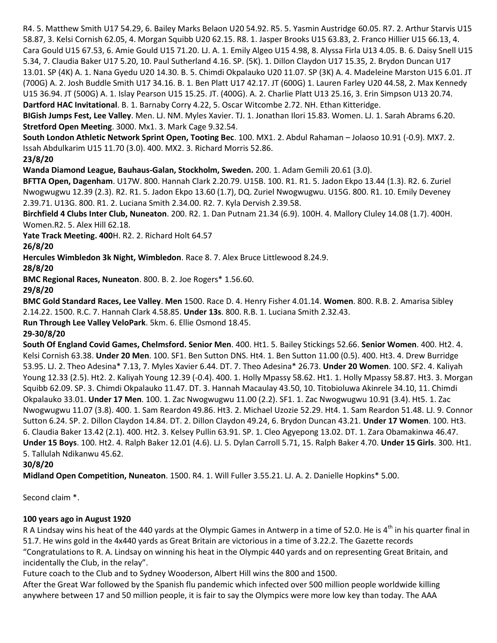R4. 5. Matthew Smith U17 54.29, 6. Bailey Marks Belaon U20 54.92. R5. 5. Yasmin Austridge 60.05. R7. 2. Arthur Starvis U15 58.87, 3. Kelsi Cornish 62.05, 4. Morgan Squibb U20 62.15. R8. 1. Jasper Brooks U15 63.83, 2. Franco Hillier U15 66.13, 4. Cara Gould U15 67.53, 6. Amie Gould U15 71.20. LJ. A. 1. Emily Algeo U15 4.98, 8. Alyssa Firla U13 4.05. B. 6. Daisy Snell U15 5.34, 7. Claudia Baker U17 5.20, 10. Paul Sutherland 4.16. SP. (5K). 1. Dillon Claydon U17 15.35, 2. Brydon Duncan U17 13.01. SP (4K) A. 1. Nana Gyedu U20 14.30. B. 5. Chimdi Okpalauko U20 11.07. SP (3K) A. 4. Madeleine Marston U15 6.01. JT (700G) A. 2. Josh Buddle Smith U17 34.16. B. 1. Ben Platt U17 42.17. JT (600G) 1. Lauren Farley U20 44.58, 2. Max Kennedy U15 36.94. JT (500G) A. 1. Islay Pearson U15 15.25. JT. (400G). A. 2. Charlie Platt U13 25.16, 3. Erin Simpson U13 20.74. **Dartford HAC Invitational**. B. 1. Barnaby Corry 4.22, 5. Oscar Witcombe 2.72. NH. Ethan Kitteridge.

**BIGish Jumps Fest, Lee Valley**. Men. LJ. NM. Myles Xavier. TJ. 1. Jonathan Ilori 15.83. Women. LJ. 1. Sarah Abrams 6.20. **Stretford Open Meeting**. 3000. Mx1. 3. Mark Cage 9.32.54.

**South London Athletic Network Sprint Open, Tooting Bec**. 100. MX1. 2. Abdul Rahaman – Jolaoso 10.91 (-0.9). MX7. 2. Issah Abdulkarim U15 11.70 (3.0). 400. MX2. 3. Richard Morris 52.86.

### **23/8/20**

**Wanda Diamond League, Bauhaus-Galan, Stockholm, Sweden.** 200. 1. Adam Gemili 20.61 (3.0).

**BFTTA Open, Dagenham**. U17W. 800. Hannah Clark 2.20.79. U15B. 100. R1. R1. 5. Jadon Ekpo 13.44 (1.3). R2. 6. Zuriel Nwogwugwu 12.39 (2.3). R2. R1. 5. Jadon Ekpo 13.60 (1.7), DQ. Zuriel Nwogwugwu. U15G. 800. R1. 10. Emily Deveney 2.39.71. U13G. 800. R1. 2. Luciana Smith 2.34.00. R2. 7. Kyla Dervish 2.39.58.

**Birchfield 4 Clubs Inter Club, Nuneaton**. 200. R2. 1. Dan Putnam 21.34 (6.9). 100H. 4. Mallory Cluley 14.08 (1.7). 400H. Women.R2. 5. Alex Hill 62.18.

**Yate Track Meeting. 400**H. R2. 2. Richard Holt 64.57

### **26/8/20**

**Hercules Wimbledon 3k Night, Wimbledon**. Race 8. 7. Alex Bruce Littlewood 8.24.9.

**28/8/20**

**BMC Regional Races, Nuneaton**. 800. B. 2. Joe Rogers\* 1.56.60.

**29/8/20**

**BMC Gold Standard Races, Lee Valley**. **Men** 1500. Race D. 4. Henry Fisher 4.01.14. **Women**. 800. R.B. 2. Amarisa Sibley 2.14.22. 1500. R.C. 7. Hannah Clark 4.58.85. **Under 13s**. 800. R.B. 1. Luciana Smith 2.32.43.

**Run Through Lee Valley VeloPark**. 5km. 6. Ellie Osmond 18.45.

### **29-30/8/20**

**South Of England Covid Games, Chelmsford. Senior Men**. 400. Ht1. 5. Bailey Stickings 52.66. **Senior Women**. 400. Ht2. 4. Kelsi Cornish 63.38. **Under 20 Men**. 100. SF1. Ben Sutton DNS. Ht4. 1. Ben Sutton 11.00 (0.5). 400. Ht3. 4. Drew Burridge 53.95. LJ. 2. Theo Adesina\* 7.13, 7. Myles Xavier 6.44. DT. 7. Theo Adesina\* 26.73. **Under 20 Women**. 100. SF2. 4. Kaliyah Young 12.33 (2.5). Ht2. 2. Kaliyah Young 12.39 (-0.4). 400. 1. Holly Mpassy 58.62. Ht1. 1. Holly Mpassy 58.87. Ht3. 3. Morgan Squibb 62.09. SP. 3. Chimdi Okpalauko 11.47. DT. 3. Hannah Macaulay 43.50, 10. Titobioluwa Akinrele 34.10, 11. Chimdi Okpalauko 33.01. **Under 17 Men**. 100. 1. Zac Nwogwugwu 11.00 (2.2). SF1. 1. Zac Nwogwugwu 10.91 (3.4). Ht5. 1. Zac Nwogwugwu 11.07 (3.8). 400. 1. Sam Reardon 49.86. Ht3. 2. Michael Uzozie 52.29. Ht4. 1. Sam Reardon 51.48. LJ. 9. Connor Sutton 6.24. SP. 2. Dillon Claydon 14.84. DT. 2. Dillon Claydon 49.24, 6. Brydon Duncan 43.21. **Under 17 Women**. 100. Ht3. 6. Claudia Baker 13.42 (2.1). 400. Ht2. 3. Kelsey Pullin 63.91. SP. 1. Cleo Agyepong 13.02. DT. 1. Zara Obamakinwa 46.47. **Under 15 Boys**. 100. Ht2. 4. Ralph Baker 12.01 (4.6). LJ. 5. Dylan Carroll 5.71, 15. Ralph Baker 4.70. **Under 15 Girls**. 300. Ht1. 5. Tallulah Ndikanwu 45.62.

### **30/8/20**

**Midland Open Competition, Nuneaton**. 1500. R4. 1. Will Fuller 3.55.21. LJ. A. 2. Danielle Hopkins\* 5.00.

Second claim \*.

### **100 years ago in August 1920**

R A Lindsay wins his heat of the 440 yards at the Olympic Games in Antwerp in a time of 52.0. He is 4<sup>th</sup> in his quarter final in 51.7. He wins gold in the 4x440 yards as Great Britain are victorious in a time of 3.22.2. The Gazette records "Congratulations to R. A. Lindsay on winning his heat in the Olympic 440 yards and on representing Great Britain, and incidentally the Club, in the relay".

Future coach to the Club and to Sydney Wooderson, Albert Hill wins the 800 and 1500.

After the Great War followed by the Spanish flu pandemic which infected over 500 million people worldwide killing anywhere between 17 and 50 million people, it is fair to say the Olympics were more low key than today. The AAA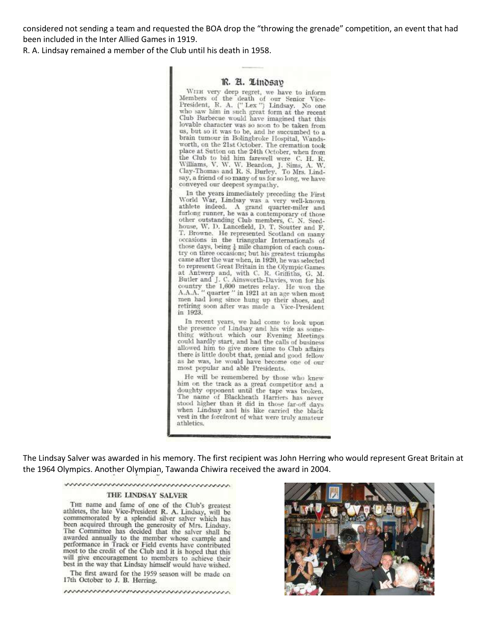considered not sending a team and requested the BOA drop the "throwing the grenade" competition, an event that had been included in the Inter Allied Games in 1919.

R. A. Lindsay remained a member of the Club until his death in 1958.

### R. A. Lindsav

WITH very deep regret, we have to inform<br>Members of the death of our Senior Vice-President, R. A. ("Lex") Lindsay. No one who saw him in such great form at the recent<br>Club Barbecue would have imagined that this lovable character was so soon to be taken from us, but so it was to be, and he succumbed to a brain tumour in Bolingbroke Hospital, Wandsworth, on the 21st October. The cremation took place at Sutton on the 24th October, when from the Club to bid him farewell were C. H. R. Williams, V. W. W. Beardon, J. Sims, A. W. Clay-Thomas and R. S. Burley, To Mrs. Lindsay, a friend of so many of us for so long, we have conveyed our deepest sympathy.

In the years immediately preceding the First World War, Lindsay was a very well-known athlete indeed. A grand quarter-miler and furlong runner, he was a contemporary of those other outstanding Club members, C. N. Seedhouse, W. D. Lancefield, D. T. Soutter and F.<br>T. Browne. He represented Scotland on many occasions in the triangular Internationals of those days, being  $\frac{1}{4}$  mile champion of each country on three occasions; but his greatest triumphs<br>came after the war when, in 1920, he was selected to represent Great Britain in the Olympic Games at Antwerp and, with C. R. Griffiths, G. M.<br>Butler and J. C. Ainsworth-Davies, won for his<br>country the 1,600 metres relay. He won the<br>A.A.A. " quarter " in 1921 at an age when most men had long since hung up their shoes, and retiring soon after was made a Vice-President in 1923.

In recent years, we had come to look upon the presence of Lindsay and his wife as something without which our Evening Meetings could hardly start, and had the calls of business allowed him to give more time to Club affairs there is little doubt that, genial and good fellow as he was, he would have become one of our most popular and able Presidents.

He will be remembered by those who knew him on the track as a great competitor and a doughty opponent until the tape was broken. The name of Blackheath Harriers has never stood higher than it did in those far-off days when Lindsay and his like carried the black vest in the forefront of what were truly amateur athletics.

The Lindsay Salver was awarded in his memory. The first recipient was John Herring who would represent Great Britain at the 1964 Olympics. Another Olympian, Tawanda Chiwira received the award in 2004.

### www.www.www.www.www.ww

#### THE LINDSAY SALVER

THE name and fame of one of the Club's greatest athletes, the late Vice-President R. A. Lindsay, will be commemorated by a splendid silver salver which has been acquired through the generosity of Mrs. Lindsay. The Committee has decided that the salver shall be awarded annually to the member whose example and performance in Track or Field events have contributed most to the credit of the Club and it is hoped that this will give encouragement to members to achieve their best in the way that Lindsay himself would have wished.

The first award for the 1959 season will be made on 17th October to J. B. Herring.

nummunummunumunumunum

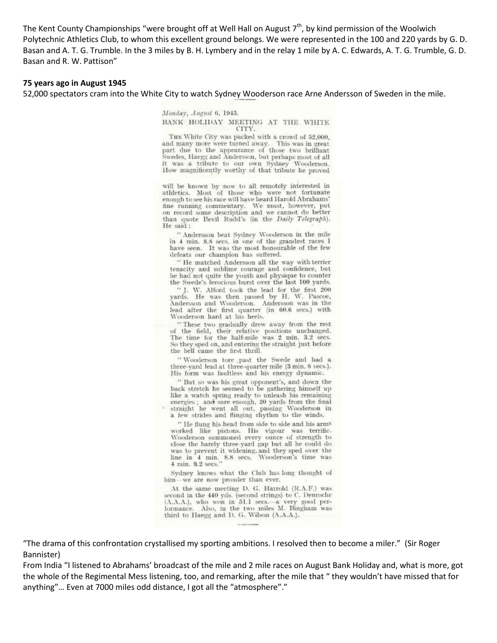The Kent County Championships "were brought off at Well Hall on August  $7<sup>th</sup>$ , by kind permission of the Woolwich Polytechnic Athletics Club, to whom this excellent ground belongs. We were represented in the 100 and 220 yards by G. D. Basan and A. T. G. Trumble. In the 3 miles by B. H. Lymbery and in the relay 1 mile by A. C. Edwards, A. T. G. Trumble, G. D. Basan and R. W. Pattison"

### **75 years ago in August 1945**

52,000 spectators cram into the White City to watch Sydney Wooderson race Arne Andersson of Sweden in the mile.

Monday, August 6, 1945.

BANK HOLIDAY MEETING AT THE WHITE CITY.

THE White City was packed with a crowd of 52,000, and many more were turned away. This was in great and many more very truncal part due to the appearance of those two brilliant<br>Swedes, Haegg and Andersson, but perhaps most of all<br>it was a tribute to our own Sydney Wooderson.<br>How magnificently worthy of that tribute he pr

will be known by now to all remotely interested in athletics. Most of those who were not fortunate enough to see his race will have heard Harold Abrahams' fine running commentary. We must, however, put on record some description and we cannot do better than quote Bevil Rudd's (in the Daily Telegraph). He said:

" Andersson beat Sydney Wooderson in the mile in 4 min. 8.8 secs, in one of the grandest races I have seen. It was the most honourable of the few defeats our champion has suffered.

" He matched Andersson all the way with terrier<br>tenacity and sublime courage and confidence, but he had not quite the youth and physique to counter the Swede's ferocious burst over the last 100 yards.

" J. W. Alford took the lead for the first 200 yards. He was then passed by H. W. Pascoe, Andersson and Wooderson. Andersson was in the lead after the first quarter (in 60.6 secs.) with Wooderson hard at his heels.

" These two gradually drew away from the rest of the field, their relative positions unchanged.<br>The time for the half-mile was 2 min. 3.2 secs. So they sped on, and entering the straight just before the bell came the first thrill.

"Wooderson tore past the Swede and had a three-yard lead at three-quarter mile (3 min. 8 secs.). His form was faultless and his energy dynamic.

" But so was his great opponent's, and down the back stretch he seemed to be gathering himself up like a watch spring ready to unleash his remaining energies; and sure enough, 20 yards from the final straight he went all out, passing Wooderson in a few strides and flinging rhythm to the winds.

"He flung his head from side to side and his arms worked like pistons. His vigour was terrific. Wooderson summoned every ounce of strength to close the barely three-yard gap but all he could do was to prevent it widening, and they sped over the<br>line in 4 min. 8.8 secs. Wooderson's time was line in 4 min. 8.8 secs. 4 min. 9.2 secs.

Sydney knows what the Club has long thought of him-we are now prouder than ever.

At the same meeting D. G. Harrold (R.A.F.) was second in the 440 yds. (second strings) to C. Denroche (A.A.A.), who won in 51.1 secs.--a very good performance. Also, in the two miles M. Bingham was third to Haegg and D. G. Wilson (A.A.A.).

"The drama of this confrontation crystallised my sporting ambitions. I resolved then to become a miler." (Sir Roger Bannister)

From India "I listened to Abrahams' broadcast of the mile and 2 mile races on August Bank Holiday and, what is more, got the whole of the Regimental Mess listening, too, and remarking, after the mile that " they wouldn't have missed that for anything"… Even at 7000 miles odd distance, I got all the "atmosphere"."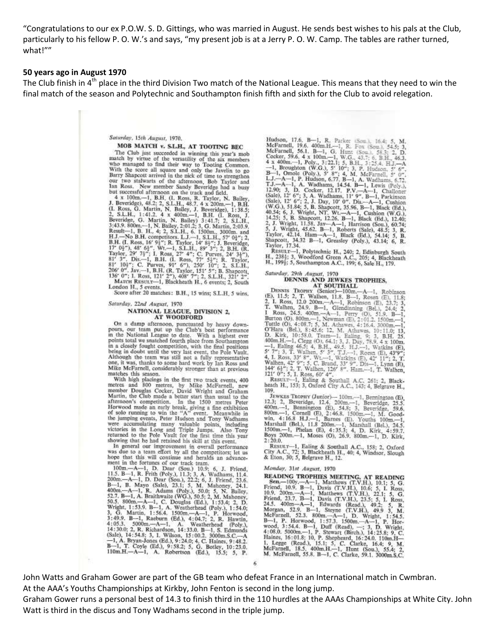"Congratulations to our ex P.O.W. S. D. Gittings, who was married in August. He sends best wishes to his pals at the Club, particularly to his fellow P. O. W.'s and says, "my present job is at a Jerry P. O. W. Camp. The tables are rather turned, what!""

### 50 years ago in August 1970

The Club finish in  $4<sup>th</sup>$  place in the third Division Two match of the National League. This means that they need to win the final match of the season and Polytechnic and Southampton finish fifth and sixth for the Club to avoid relegation.

### Saturday, 15th August, 1970.

### MOB MATCH v. S.L.H., AT TOOTING BEC

The Club just succeeded in winning this year's mob<br>match by virtue of the versatility of the six members who managed to find their way to Tooting Common.<br>With the score all square and only the Javelin to go Barry Shapcott arrived in the nick of time to strengthen our two stalwarts of the afternoon, Bob Taylor and Ian Ross. New member Sandy Beveridge had a busy

Ian Ross. New member Sandy Beveridge had a busy<br>but successful afternoon on the track and field,<br> $4 \times 100\text{m}$ . -1, B.H. (I. Ross, R. Taylor, N. Bailey,<br>J. Beveridge), 48.2; 2, S.L.H., 48.7. 4 x 200m.--1, B.H.<br>(I. Ross, MATCH RESULT-1, Blackheath H., 6 events; 2, South London H., 5 events.

Score after 20 matches: B.H., 15 wins; S.L.H. 5 wins,

Saturday, 22nd August, 1970

#### NATIONAL LEAGUE, DIVISION 2, **AT WOODFORD**

On a damp afternoon, punctuated by heavy down-<br>pours, our team put up the Club's best performance<br>in the National League to date. With a highest ever<br>points total we snatched fourth place from Southampton pours out as someoned to the properties that the final positions<br>in a closely fought competition, with the final positions<br>being in doubt until the very last event, the Pole Vault.<br>Although the team was still not a fully r

Mike McFarnell, considerably stronger than at previous<br>matches this season.<br>matches this season.<br>With high placings in the first two track events, 400<br>metres and 800 metres, by Mike McFarnell, new<br>member Douglas Cocker, Da showing that he had retained his skill at this event.

In general our improvement in overall performance<br>was due to a team effort by all the competitors; let us

was due to a team effort by all the competitors; let us<br>hope that this will continue and heralds an advance-<br>ment in the fortunes of our track team.<br>100m- $A-1$ , D. Dear (Sou.) 10.9; 6, J. Friend,<br>11.5. B-1, R. Frith (Poly

Hudson, 17.6, B--1, R. Parker ISom., 16.4; 5, M. McFarnell, 19.6, 400m.H.--1, R. Frox (Som.), 54.5; 3, D. Cocker, 59.6, 4 x 100m.--1, W.G., 43.7; 6, B.H., 46.3, 4 x 400m.--1, Poly., 3:22.1; 5, B.H., 3:25.4; H.J.--A. -1, B

Taylor, 42.14. Hand, Greasley (Poly.), 43.14; 6, R.<br>Shapcott, 34.32 B-1, Greasley (Poly.), 43.14; 6, R.<br>Taylor, 17.34.<br>H., 2384; 3, Woodford Green A.C., 205; 4, Blackheath<br>H., 2994; 5, Southampton A.C., 199; 6, Sale H., 17

#### Saturday, 29th August, 1970 DENNIS AND JEWKES TROPHIES,

**DENNIS AND JEWKES TROPHIES,**<br> **AT SOUTHALL**<br> **AT SOUTHALL**<br> **CEONARY (SEDITER)**, **AT SOUTHALL**<br>
(E), 11.5; 2, T. Walhen, 11.8. B-1, Rosen (E), 11.8;<br>
2, 1. Ross, 12.0 200m.--A--1, Robinson (E), 23.7; 3,<br>
T. Walhen, 24.9.

109

109.<br>
109. EWKES TROPHY (Junior)—100m.—1, Bernington (E),<br>
12.3; 2, Beveridge, 12.4. 200m.—1, Beveridge, 25.5.<br>
400m.—1, Dennington (E), 54.8; 3, Beveridge, 59.6.<br>
800m.—1, Cornell (E), 2:46.8. 1500m.—1, M. Good-<br>
win, 4:1  $2:20.0.$ 

RESULT-1, Ealing & Southall A.C., 158; 2, Oxford<br>City A.C., 72; 3, Blackheath H., 40; 4, Windsor, Slough<br>& Eton, 30; 5, Belgrave H., 12.

#### Monday, 31st August, 1970

Monday, 31st August, 1970<br>
READING TROPHIES MEETING, AT READING<br>
Sean-100y.--A-1, Matthews (T.V.H.), 10.1; 5, G.<br>
Friend, 10.9. B-1, Davis (T.V.H.), 10.6; 5, I. Ross,<br>
10.9. 200m.--A-1, Davis (T.V.H.), 10.6; 5, I. Ross,<br>

John Watts and Graham Gower are part of the GB team who defeat France in an International match in Cwmbran. At the AAA's Youths Championships at Kirkby, John Fenton is second in the long jump.

Graham Gower runs a personal best of 14.3 to finish third in the 110 hurdles at the AAAs Championships at White City. John Watt is third in the discus and Tony Wadhams second in the triple jump.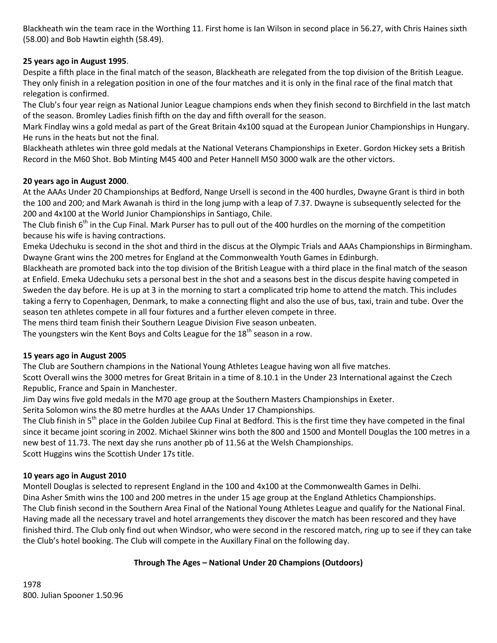Blackheath win the team race in the Worthing 11. First home is Ian Wilson in second place in 56.27, with Chris Haines sixth (58.00) and Bob Hawtin eighth (58.49).

## **25 years ago in August 1995**.

Despite a fifth place in the final match of the season, Blackheath are relegated from the top division of the British League. They only finish in a relegation position in one of the four matches and it is only in the final race of the final match that relegation is confirmed.

The Club's four year reign as National Junior League champions ends when they finish second to Birchfield in the last match of the season. Bromley Ladies finish fifth on the day and fifth overall for the season.

Mark Findlay wins a gold medal as part of the Great Britain 4x100 squad at the European Junior Championships in Hungary. He runs in the heats but not the final.

Blackheath athletes win three gold medals at the National Veterans Championships in Exeter. Gordon Hickey sets a British Record in the M60 Shot. Bob Minting M45 400 and Peter Hannell M50 3000 walk are the other victors.

### **20 years ago in August 2000**.

At the AAAs Under 20 Championships at Bedford, Nange Ursell is second in the 400 hurdles, Dwayne Grant is third in both the 100 and 200; and Mark Awanah is third in the long jump with a leap of 7.37. Dwayne is subsequently selected for the 200 and 4x100 at the World Junior Championships in Santiago, Chile.

The Club finish 6<sup>th</sup> in the Cup Final. Mark Purser has to pull out of the 400 hurdles on the morning of the competition because his wife is having contractions.

Emeka Udechuku is second in the shot and third in the discus at the Olympic Trials and AAAs Championships in Birmingham. Dwayne Grant wins the 200 metres for England at the Commonwealth Youth Games in Edinburgh.

Blackheath are promoted back into the top division of the British League with a third place in the final match of the season at Enfield. Emeka Udechuku sets a personal best in the shot and a seasons best in the discus despite having competed in Sweden the day before. He is up at 3 in the morning to start a complicated trip home to attend the match. This includes taking a ferry to Copenhagen, Denmark, to make a connecting flight and also the use of bus, taxi, train and tube. Over the season ten athletes compete in all four fixtures and a further eleven compete in three.

The mens third team finish their Southern League Division Five season unbeaten.

The youngsters win the Kent Boys and Colts League for the  $18<sup>th</sup>$  season in a row.

# **15 years ago in August 2005**

The Club are Southern champions in the National Young Athletes League having won all five matches.

Scott Overall wins the 3000 metres for Great Britain in a time of 8.10.1 in the Under 23 International against the Czech Republic, France and Spain in Manchester.

Jim Day wins five gold medals in the M70 age group at the Southern Masters Championships in Exeter.

Serita Solomon wins the 80 metre hurdles at the AAAs Under 17 Championships.

The Club finish in 5<sup>th</sup> place in the Golden Jubilee Cup Final at Bedford. This is the first time they have competed in the final since it became joint scoring in 2002. Michael Skinner wins both the 800 and 1500 and Montell Douglas the 100 metres in a new best of 11.73. The next day she runs another pb of 11.56 at the Welsh Championships. Scott Huggins wins the Scottish Under 17s title.

### **10 years ago in August 2010**

Montell Douglas is selected to represent England in the 100 and 4x100 at the Commonwealth Games in Delhi. Dina Asher Smith wins the 100 and 200 metres in the under 15 age group at the England Athletics Championships. The Club finish second in the Southern Area Final of the National Young Athletes League and qualify for the National Final. Having made all the necessary travel and hotel arrangements they discover the match has been rescored and they have finished third. The Club only find out when Windsor, who were second in the rescored match, ring up to see if they can take the Club's hotel booking. The Club will compete in the Auxillary Final on the following day.

# **Through The Ages – National Under 20 Champions (Outdoors)**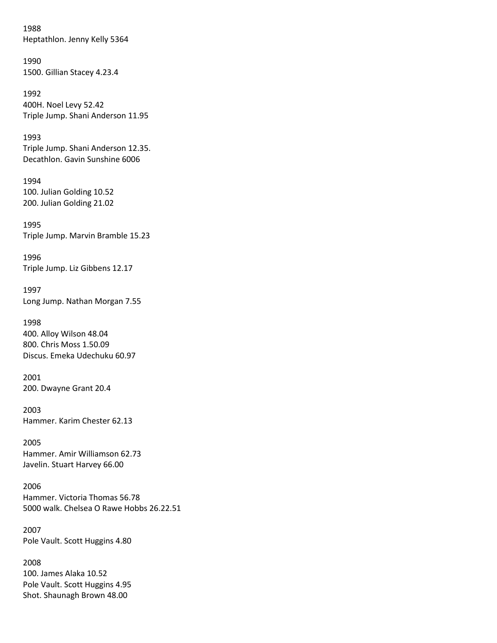1988 Heptathlon. Jenny Kelly 5364

1990 1500. Gillian Stacey 4.23.4

1992 400H. Noel Levy 52.42 Triple Jump. Shani Anderson 11.95

1993 Triple Jump. Shani Anderson 12.35. Decathlon. Gavin Sunshine 6006

1994 100. Julian Golding 10.52 200. Julian Golding 21.02

1995 Triple Jump. Marvin Bramble 15.23

1996 Triple Jump. Liz Gibbens 12.17

1997 Long Jump. Nathan Morgan 7.55

1998 400. Alloy Wilson 48.04 800. Chris Moss 1.50.09 Discus. Emeka Udechuku 60.97

2001 200. Dwayne Grant 20.4

2003 Hammer. Karim Chester 62.13

2005 Hammer. Amir Williamson 62.73 Javelin. Stuart Harvey 66.00

2006 Hammer. Victoria Thomas 56.78 5000 walk. Chelsea O Rawe Hobbs 26.22.51

2007 Pole Vault. Scott Huggins 4.80

2008 100. James Alaka 10.52 Pole Vault. Scott Huggins 4.95 Shot. Shaunagh Brown 48.00